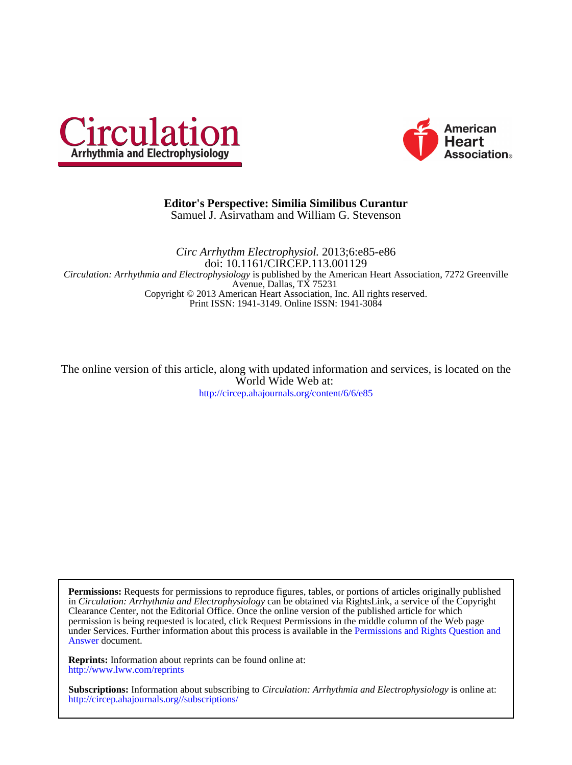



# Samuel J. Asirvatham and William G. Stevenson **Editor's Perspective: Similia Similibus Curantur**

Print ISSN: 1941-3149. Online ISSN: 1941-3084 Copyright © 2013 American Heart Association, Inc. All rights reserved. Avenue, Dallas, TX 75231 *Circulation: Arrhythmia and Electrophysiology* is published by the American Heart Association, 7272 Greenville doi: 10.1161/CIRCEP.113.001129 *Circ Arrhythm Electrophysiol.* 2013;6:e85-e86

<http://circep.ahajournals.org/content/6/6/e85> World Wide Web at: The online version of this article, along with updated information and services, is located on the

[Answer](http://www.ahajournals.org/site/rights/) document. under Services. Further information about this process is available in the [Permissions and Rights Question and](http://www.ahajournals.org/site/rights/) permission is being requested is located, click Request Permissions in the middle column of the Web page Clearance Center, not the Editorial Office. Once the online version of the published article for which in *Circulation: Arrhythmia and Electrophysiology* can be obtained via RightsLink, a service of the Copyright **Permissions:** Requests for permissions to reproduce figures, tables, or portions of articles originally published

<http://www.lww.com/reprints> **Reprints:** Information about reprints can be found online at:

<http://circep.ahajournals.org//subscriptions/> **Subscriptions:** Information about subscribing to *Circulation: Arrhythmia and Electrophysiology* is online at: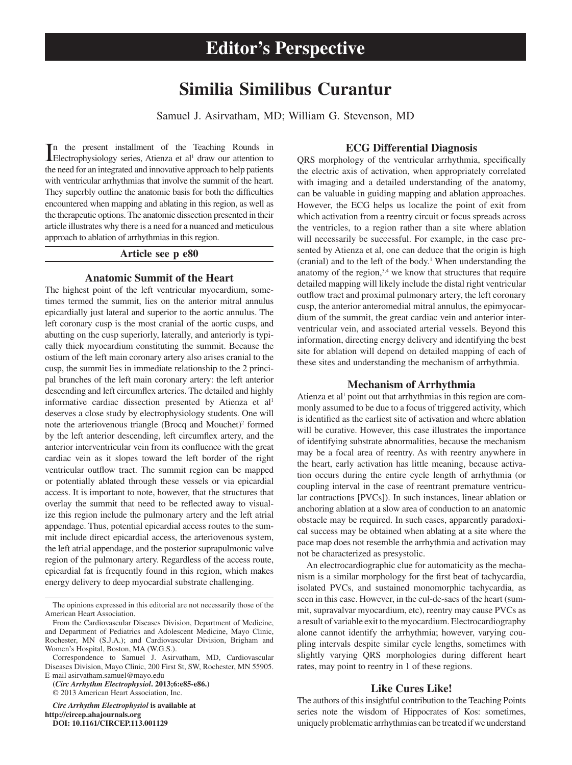# **Similia Similibus Curantur**

Samuel J. Asirvatham, MD; William G. Stevenson, MD

In the present installment of the Teaching Rounds in Electrophysiology series, Atienza et al<sup>1</sup> draw our attention to n the present installment of the Teaching Rounds in the need for an integrated and innovative approach to help patients with ventricular arrhythmias that involve the summit of the heart. They superbly outline the anatomic basis for both the difficulties encountered when mapping and ablating in this region, as well as the therapeutic options. The anatomic dissection presented in their article illustrates why there is a need for a nuanced and meticulous approach to ablation of arrhythmias in this region.

## **Article see p e80**

## **Anatomic Summit of the Heart**

The highest point of the left ventricular myocardium, sometimes termed the summit, lies on the anterior mitral annulus epicardially just lateral and superior to the aortic annulus. The left coronary cusp is the most cranial of the aortic cusps, and abutting on the cusp superiorly, laterally, and anteriorly is typically thick myocardium constituting the summit. Because the ostium of the left main coronary artery also arises cranial to the cusp, the summit lies in immediate relationship to the 2 principal branches of the left main coronary artery: the left anterior descending and left circumflex arteries. The detailed and highly informative cardiac dissection presented by Atienza et al<sup>1</sup> deserves a close study by electrophysiology students. One will note the arteriovenous triangle (Brocq and Mouchet)<sup>2</sup> formed by the left anterior descending, left circumflex artery, and the anterior interventricular vein from its confluence with the great cardiac vein as it slopes toward the left border of the right ventricular outflow tract. The summit region can be mapped or potentially ablated through these vessels or via epicardial access. It is important to note, however, that the structures that overlay the summit that need to be reflected away to visualize this region include the pulmonary artery and the left atrial appendage. Thus, potential epicardial access routes to the summit include direct epicardial access, the arteriovenous system, the left atrial appendage, and the posterior suprapulmonic valve region of the pulmonary artery. Regardless of the access route, epicardial fat is frequently found in this region, which makes energy delivery to deep myocardial substrate challenging.

**(***Circ Arrhythm Electrophysiol***. 2013;6:e85-e86.)** © 2013 American Heart Association, Inc.

*Circ Arrhythm Electrophysiol* **is available at http://circep.ahajournals.org DOI: 10.1161/CIRCEP.113.001129**

### **ECG Differential Diagnosis**

QRS morphology of the ventricular arrhythmia, specifically the electric axis of activation, when appropriately correlated with imaging and a detailed understanding of the anatomy, can be valuable in guiding mapping and ablation approaches. However, the ECG helps us localize the point of exit from which activation from a reentry circuit or focus spreads across the ventricles, to a region rather than a site where ablation will necessarily be successful. For example, in the case presented by Atienza et al, one can deduce that the origin is high (cranial) and to the left of the body.<sup>1</sup> When understanding the anatomy of the region, $3,4$  we know that structures that require detailed mapping will likely include the distal right ventricular outflow tract and proximal pulmonary artery, the left coronary cusp, the anterior anteromedial mitral annulus, the epimyocardium of the summit, the great cardiac vein and anterior interventricular vein, and associated arterial vessels. Beyond this information, directing energy delivery and identifying the best site for ablation will depend on detailed mapping of each of these sites and understanding the mechanism of arrhythmia.

#### **Mechanism of Arrhythmia**

Atienza et al<sup>1</sup> point out that arrhythmias in this region are commonly assumed to be due to a focus of triggered activity, which is identified as the earliest site of activation and where ablation will be curative. However, this case illustrates the importance of identifying substrate abnormalities, because the mechanism may be a focal area of reentry. As with reentry anywhere in the heart, early activation has little meaning, because activation occurs during the entire cycle length of arrhythmia (or coupling interval in the case of reentrant premature ventricular contractions [PVCs]). In such instances, linear ablation or anchoring ablation at a slow area of conduction to an anatomic obstacle may be required. In such cases, apparently paradoxical success may be obtained when ablating at a site where the pace map does not resemble the arrhythmia and activation may not be characterized as presystolic.

An electrocardiographic clue for automaticity as the mechanism is a similar morphology for the first beat of tachycardia, isolated PVCs, and sustained monomorphic tachycardia, as seen in this case. However, in the cul-de-sacs of the heart (summit, supravalvar myocardium, etc), reentry may cause PVCs as a result of variable exit to the myocardium. Electrocardiography alone cannot identify the arrhythmia; however, varying coupling intervals despite similar cycle lengths, sometimes with slightly varying QRS morphologies during different heart rates, may point to reentry in 1 of these regions.

## **Like Cures Like!**

The authors of this insightful contribution to the Teaching Points [series not](http://circep.ahajournals.org/)e the wisdom of Hippocrates of Kos: sometimes, uniquely problematic arrhythmias can be treated if we understand

The opinions expressed in this editorial are not necessarily those of the American Heart Association.

From the Cardiovascular Diseases Division, Department of Medicine, and Department of Pediatrics and Adolescent Medicine, Mayo Clinic, Rochester, MN (S.J.A.); and Cardiovascular Division, Brigham and Women's Hospital, Boston, MA (W.G.S.).

Correspondence to Samuel J. Asirvatham, MD, Cardiovascular Diseases Division, Mayo Clinic, 200 First St, SW, Rochester, MN 55905. E-mail [asirvatham.samuel@mayo.edu](mailto:asirvatham.samuel@mayo.edu)